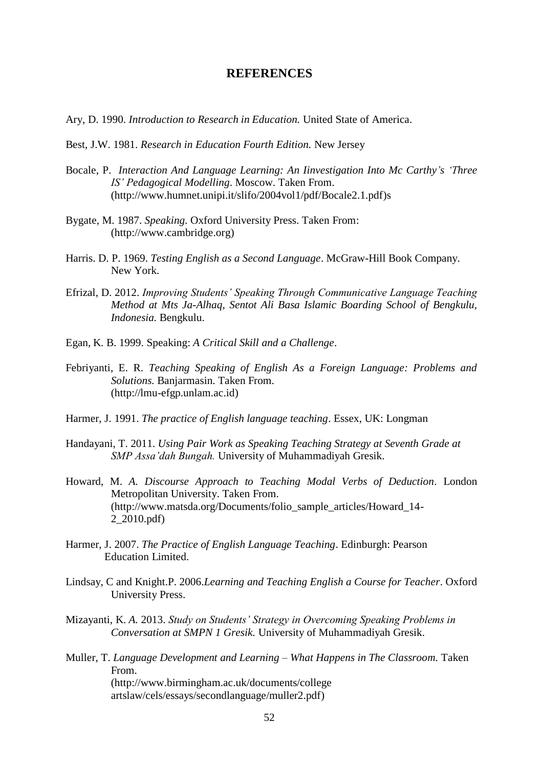## **REFERENCES**

- Ary, D. 1990. *Introduction to Research in Education.* United State of America.
- Best, J.W. 1981. *Research in Education Fourth Edition.* New Jersey
- Bocale, P. *Interaction And Language Learning: An Iinvestigation Into Mc Carthy's 'Three IS' Pedagogical Modelling*. Moscow. Taken From. (http://www.humnet.unipi.it/slifo/2004vol1/pdf/Bocale2.1.pdf)s
- Bygate, M. 1987. *Speaking.* Oxford University Press. Taken From: (http://www.cambridge.org)
- Harris. D. P. 1969. *Testing English as a Second Language*. McGraw-Hill Book Company. New York.
- Efrizal, D. 2012. *Improving Students' Speaking Through Communicative Language Teaching Method at Mts Ja-Alhaq, Sentot Ali Basa Islamic Boarding School of Bengkulu, Indonesia.* Bengkulu.
- Egan, K. B. 1999. Speaking: *A Critical Skill and a Challenge*.
- Febriyanti, E. R. *Teaching Speaking of English As a Foreign Language: Problems and Solutions.* Banjarmasin. Taken From. (http://lmu-efgp.unlam.ac.id)
- Harmer, J. 1991. *The practice of English language teaching*. Essex, UK: Longman
- Handayani, T. 2011. *Using Pair Work as Speaking Teaching Strategy at Seventh Grade at SMP Assa'dah Bungah.* University of Muhammadiyah Gresik.
- Howard, M. *A. Discourse Approach to Teaching Modal Verbs of Deduction*. London Metropolitan University. Taken From. (http://www.matsda.org/Documents/folio\_sample\_articles/Howard\_14- 2\_2010.pdf)
- Harmer, J. 2007. *The Practice of English Language Teaching*. Edinburgh: Pearson Education Limited.
- Lindsay, C and Knight.P. 2006.*Learning and Teaching English a Course for Teacher*. Oxford University Press.
- Mizayanti, K. *A.* 2013. *Study on Students' Strategy in Overcoming Speaking Problems in Conversation at SMPN 1 Gresik.* University of Muhammadiyah Gresik.
- Muller, T. *Language Development and Learning – What Happens in The Classroom.* Taken From. (http://www.birmingham.ac.uk/documents/college artslaw/cels/essays/secondlanguage/muller2.pdf)